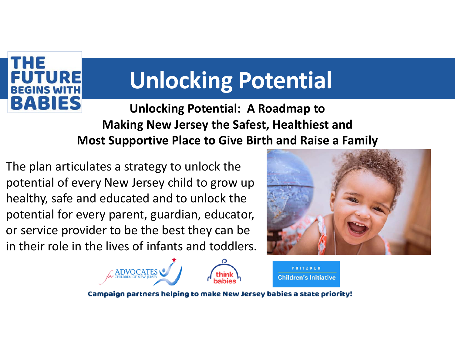

**Unlocking Potential: A Roadmap to Making New Jersey the Safest, Healthiest and Most Supportive Place to Give Birth and Raise a Family** 

The plan articulates a strategy to unlock the potential of every New Jersey child to grow up healthy, safe and educated and to unlock the potential for every parent, guardian, educator, or service provider to be the best they can be in their role in the lives of infants and toddlers.



PRITZKER

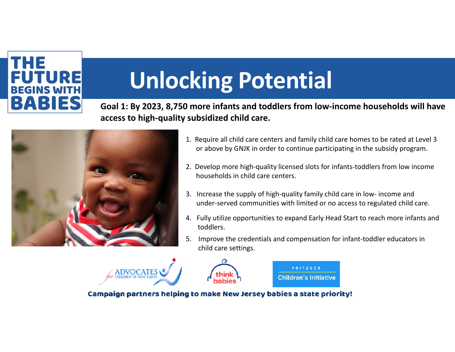

**Goal 1: By 2023, 8,750 more infants and toddlers from low‐income households will have access to high‐quality subsidized child care.** 



- 1. Require all child care centers and family child care homes to be rated at Level 3 or above by GNJK in order to continue participating in the subsidy program.
- 2. Develop more high-quality licensed slots for infants-toddlers from low income households in child care centers.
- 3. Increase the supply of high‐quality family child care in low‐ income and under‐served communities with limited or no access to regulated child care.
- 4. Fully utilize opportunities to expand Early Head Start to reach more infants and toddlers.
- 5. Improve the credentials and compensation for infant-toddler educators in child care settings.



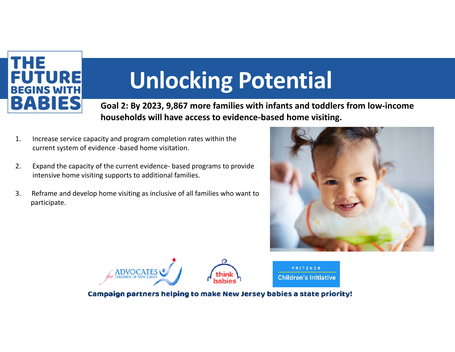

**Goal 2: By 2023, 9,867 more families with infants and toddlers from low‐income households will have access to evidence‐based home visiting.**

- 1. Increase service capacity and program completion rates within the current system of evidence ‐based home visitation.
- 2. Expand the capacity of the current evidence‐ based programs to provide intensive home visiting supports to additional families.
- 3. Reframe and develop home visiting as inclusive of all families who want to participate.







PRITZKER **Children's Initiative**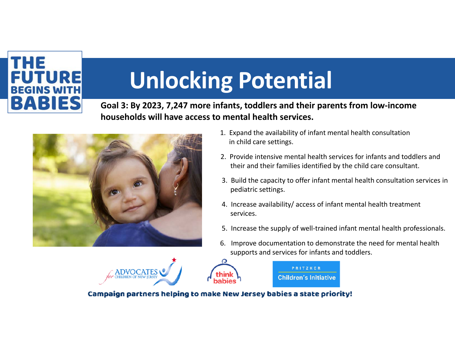### THE **FUTURE BEGINS WITH BABIES**

# **Unlocking Potential**

**Goal 3: By 2023, 7,247 more infants, toddlers and their parents from low‐income households will have access to mental health services.**



- 1. Expand the availability of infant mental health consultation in child care settings.
- 2. Provide intensive mental health services for infants and toddlers and their and their families identified by the child care consultant.
- 3. Build the capacity to offer infant mental health consultation services in pediatric settings.
- 4. Increase availability/ access of infant mental health treatment services.

PRITZKER **Children's Initiative** 

- 5. Increase the supply of well‐trained infant mental health professionals.
- 6. Improve documentation to demonstrate the need for mental health supports and services for infants and toddlers.



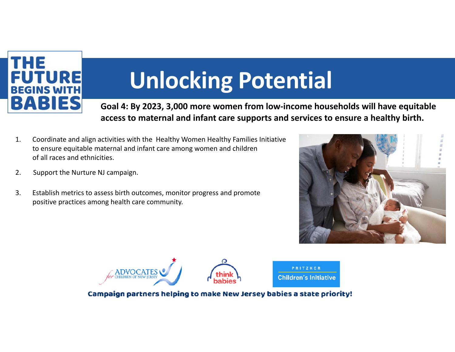

**Goal 4: By 2023, 3,000 more women from low‐income households will have equitable access to maternal and infant care supports and services to ensure a healthy birth.** 

> PRITZKER **Children's Initiative**

- 1. Coordinate and align activities with the Healthy Women Healthy Families Initiative to ensure equitable maternal and infant care among women and children of all races and ethnicities.
- 2. Support the Nurture NJ campaign.
- 3. Establish metrics to assess birth outcomes, monitor progress and promote positive practices among health care community.